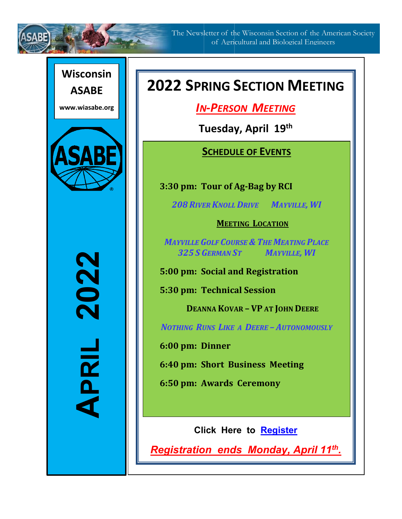

The Newsletter of the Wisconsin Section of the American Society of Agricultural and Biological Engineers

## **Wisconsin**

**www.wiasabe.org**

**ASABE**



2<br>2<br>2<br>2<br>2<br>2<br>2<br>2<br>2<br>2<br>2<br>2<br>2<br>2<br>2<br>2<br>**2 APRIL 202** APRIL

# **2022 SPRING SECTION MEETING**

*IN-PERSON MEETING*

**Tuesday, April 19th**

## **SCHEDULE OF EVENTS**

**3:30 pm: Tour of Ag-Bag by RCI**

*208 RIVER KNOLL DRIVE MAYVILLE, WI*

### **MEETING LOCATION**

*MAYVILLE GOLF COURSE & THE MEATING PLACE 325 S GERMAN ST MAYVILLE, WI*

**5:00 pm: Social and Registration**

**5:30 pm: Technical Session**

**DEANNA KOVAR – VP AT JOHN DEERE**

*NOTHING RUNS LIKE A DEERE – AUTONOMOUSLY* 

**6:00 pm: Dinner**

**6:40 pm: Short Business Meeting** 

**6:50 pm: Awards Ceremony**

**Click Here to [Register](https://na.eventscloud.com/wi22)** 

*Registration ends Monday, April 11th.*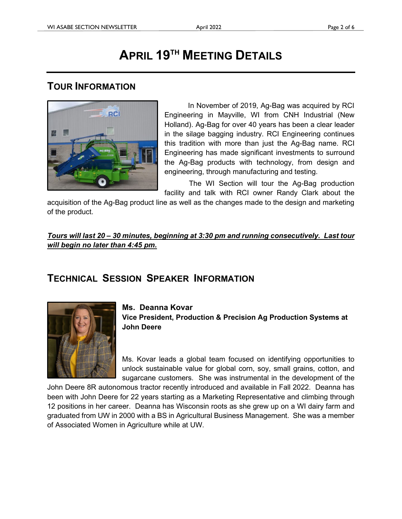## **APRIL 19TH MEETING DETAILS**

## **TOUR INFORMATION**



In November of 2019, Ag-Bag was acquired by RCI Engineering in Mayville, WI from CNH Industrial (New Holland). Ag-Bag for over 40 years has been a clear leader in the silage bagging industry. RCI Engineering continues this tradition with more than just the Ag-Bag name. RCI Engineering has made significant investments to surround the Ag-Bag products with technology, from design and engineering, through manufacturing and testing.

 The WI Section will tour the Ag-Bag production facility and talk with RCI owner Randy Clark about the

acquisition of the Ag-Bag product line as well as the changes made to the design and marketing of the product.

*Tours will last 20 – 30 minutes, beginning at 3:30 pm and running consecutively. Last tour will begin no later than 4:45 pm.*

## **TECHNICAL SESSION SPEAKER INFORMATION**



### **Ms. Deanna Kovar**

**Vice President, Production & Precision Ag Production Systems at John Deere**

Ms. Kovar leads a global team focused on identifying opportunities to unlock sustainable value for global corn, soy, small grains, cotton, and sugarcane customers. She was instrumental in the development of the

John Deere 8R autonomous tractor recently introduced and available in Fall 2022. Deanna has been with John Deere for 22 years starting as a Marketing Representative and climbing through 12 positions in her career. Deanna has Wisconsin roots as she grew up on a WI dairy farm and graduated from UW in 2000 with a BS in Agricultural Business Management. She was a member of Associated Women in Agriculture while at UW.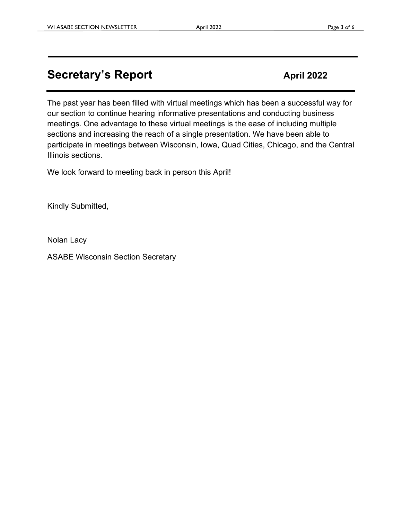## **Secretary's Report April 2022**

The past year has been filled with virtual meetings which has been a successful way for our section to continue hearing informative presentations and conducting business meetings. One advantage to these virtual meetings is the ease of including multiple sections and increasing the reach of a single presentation. We have been able to participate in meetings between Wisconsin, Iowa, Quad Cities, Chicago, and the Central Illinois sections.

We look forward to meeting back in person this April!

Kindly Submitted,

Nolan Lacy

ASABE Wisconsin Section Secretary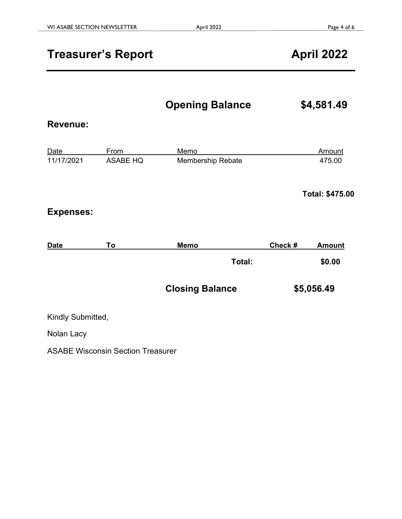## **Treasurer's Report April 2022**

**Opening Balance \$4,581.49** 

### **Revenue:**

| Date       | From     | Memo              | Amount |
|------------|----------|-------------------|--------|
| 11/17/2021 | ASABE HQ | Membership Rebate | 475.00 |

**Total: \$475.00**

### **Expenses:**

| <b>Date</b> | To. | Memo |        | Check # | <b>Amount</b> |
|-------------|-----|------|--------|---------|---------------|
|             |     |      | Total: |         | \$0.00        |
|             |     |      |        |         |               |

| <b>Closing Balance</b> | \$5,056.49 |
|------------------------|------------|
|------------------------|------------|

Kindly Submitted,

Nolan Lacy

ASABE Wisconsin Section Treasurer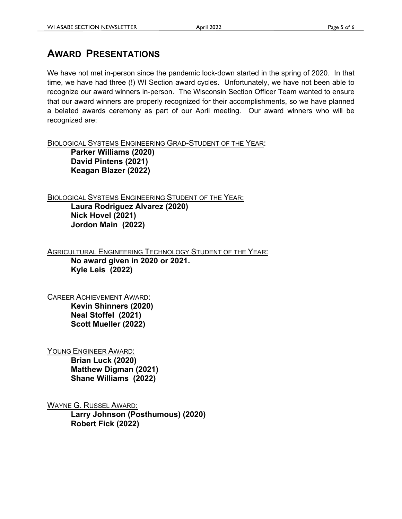## **AWARD PRESENTATIONS**

We have not met in-person since the pandemic lock-down started in the spring of 2020. In that time, we have had three (!) WI Section award cycles. Unfortunately, we have not been able to recognize our award winners in-person. The Wisconsin Section Officer Team wanted to ensure that our award winners are properly recognized for their accomplishments, so we have planned a belated awards ceremony as part of our April meeting. Our award winners who will be recognized are:

BIOLOGICAL SYSTEMS ENGINEERING GRAD-STUDENT OF THE YEAR:

**Parker Williams (2020) David Pintens (2021) Keagan Blazer (2022)**

BIOLOGICAL SYSTEMS ENGINEERING STUDENT OF THE YEAR:

**Laura Rodriguez Alvarez (2020) Nick Hovel (2021) Jordon Main (2022)**

**AGRICULTURAL ENGINEERING TECHNOLOGY STUDENT OF THE YEAR: No award given in 2020 or 2021. Kyle Leis (2022)**

CAREER ACHIEVEMENT AWARD:

**Kevin Shinners (2020) Neal Stoffel (2021) Scott Mueller (2022)**

YOUNG ENGINEER AWARD:

**Brian Luck (2020) Matthew Digman (2021) Shane Williams (2022)**

WAYNE G. RUSSEL AWARD: **Larry Johnson (Posthumous) (2020) Robert Fick (2022)**